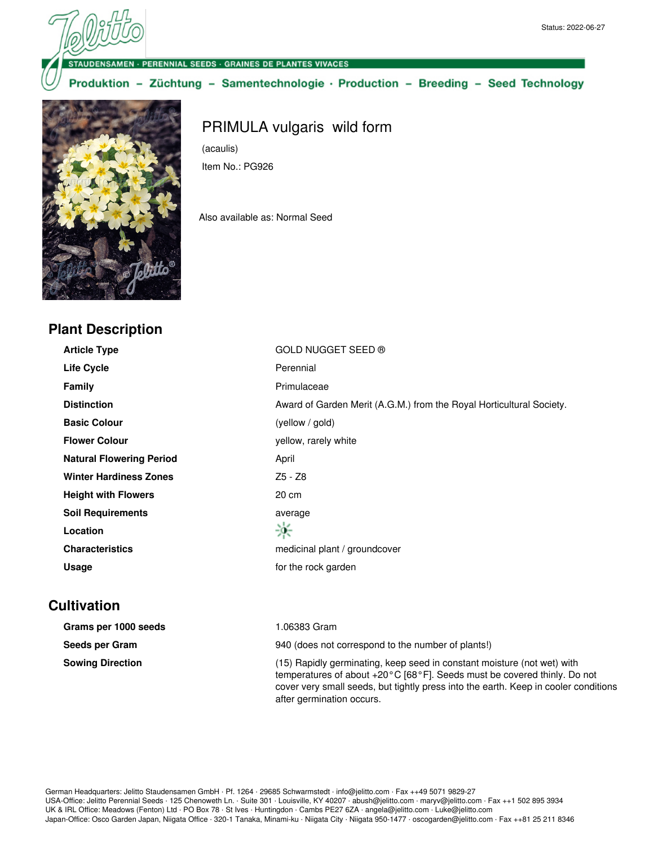ENSAMEN · PERENNIAL SEEDS · GRAINES DE PLANTES VIVACES

Produktion - Züchtung - Samentechnologie · Production - Breeding - Seed Technology



## **Plant Description**

PRIMULA vulgaris wild form

(acaulis) Item No.: PG926

Also available as: Normal Seed

| <b>Article Type</b>             | <b>GOLD NUGGET SEED ®</b>                                            |
|---------------------------------|----------------------------------------------------------------------|
| <b>Life Cycle</b>               | Perennial                                                            |
| <b>Family</b>                   | Primulaceae                                                          |
| <b>Distinction</b>              | Award of Garden Merit (A.G.M.) from the Royal Horticultural Society. |
| <b>Basic Colour</b>             | (yellow / gold)                                                      |
| <b>Flower Colour</b>            | yellow, rarely white                                                 |
| <b>Natural Flowering Period</b> | April                                                                |
| <b>Winter Hardiness Zones</b>   | Z5 - Z8                                                              |
| <b>Height with Flowers</b>      | 20 cm                                                                |
| <b>Soil Requirements</b>        | average                                                              |
| Location                        | 楽                                                                    |
| <b>Characteristics</b>          | medicinal plant / groundcover                                        |
| Usage                           | for the rock garden                                                  |

## **Cultivation**

| Grams per 1000 seeds    | l.06383 Gram                                                                                                                                                                                                                                                  |
|-------------------------|---------------------------------------------------------------------------------------------------------------------------------------------------------------------------------------------------------------------------------------------------------------|
| Seeds per Gram          | 940 (does not correspond to the number of plants!)                                                                                                                                                                                                            |
| <b>Sowing Direction</b> | (15) Rapidly germinating, keep seed in constant moisture (not wet) with<br>temperatures of about $+20\degree$ C [68 $\degree$ F]. Seeds must be covered thinly. Do not<br>cover very small seeds, but tightly press into the earth. Keep in cooler conditions |

after germination occurs.